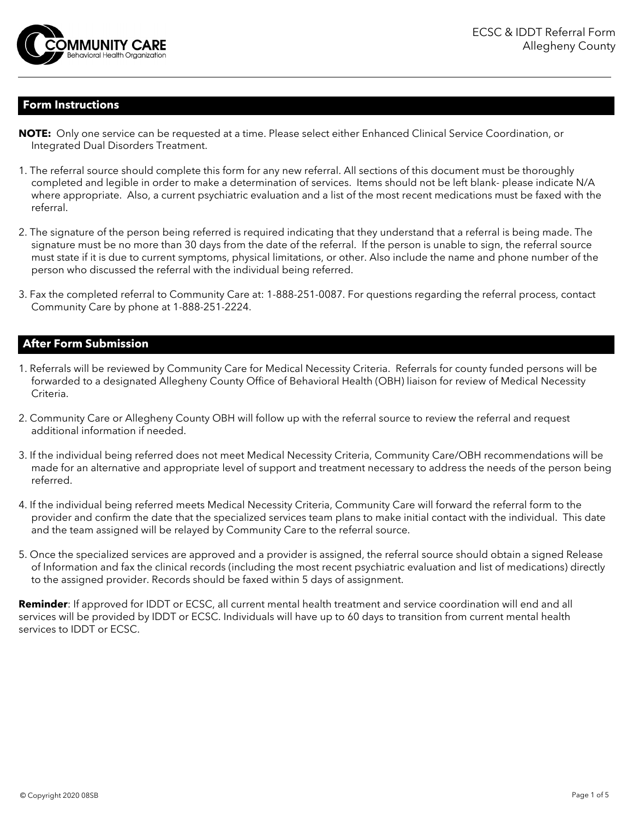

#### **Form Instructions**

- **NOTE:** Only one service can be requested at a time. Please select either Enhanced Clinical Service Coordination, or Integrated Dual Disorders Treatment.
- 1. The referral source should complete this form for any new referral. All sections of this document must be thoroughly completed and legible in order to make a determination of services. Items should not be left blank- please indicate N/A where appropriate. Also, a current psychiatric evaluation and a list of the most recent medications must be faxed with the referral.
- 2. The signature of the person being referred is required indicating that they understand that a referral is being made. The signature must be no more than 30 days from the date of the referral. If the person is unable to sign, the referral source must state if it is due to current symptoms, physical limitations, or other. Also include the name and phone number of the person who discussed the referral with the individual being referred.
- 3. Fax the completed referral to Community Care at: 1-888-251-0087. For questions regarding the referral process, contact Community Care by phone at 1-888-251-2224.

#### **After Form Submission**

- 1. Referrals will be reviewed by Community Care for Medical Necessity Criteria. Referrals for county funded persons will be forwarded to a designated Allegheny County Office of Behavioral Health (OBH) liaison for review of Medical Necessity Criteria.
- 2. Community Care or Allegheny County OBH will follow up with the referral source to review the referral and request additional information if needed.
- 3. If the individual being referred does not meet Medical Necessity Criteria, Community Care/OBH recommendations will be made for an alternative and appropriate level of support and treatment necessary to address the needs of the person being referred.
- 4. If the individual being referred meets Medical Necessity Criteria, Community Care will forward the referral form to the provider and confirm the date that the specialized services team plans to make initial contact with the individual. This date and the team assigned will be relayed by Community Care to the referral source.
- 5. Once the specialized services are approved and a provider is assigned, the referral source should obtain a signed Release of Information and fax the clinical records (including the most recent psychiatric evaluation and list of medications) directly to the assigned provider. Records should be faxed within 5 days of assignment.

**Reminder**: If approved for IDDT or ECSC, all current mental health treatment and service coordination will end and all services will be provided by IDDT or ECSC. Individuals will have up to 60 days to transition from current mental health services to IDDT or ECSC.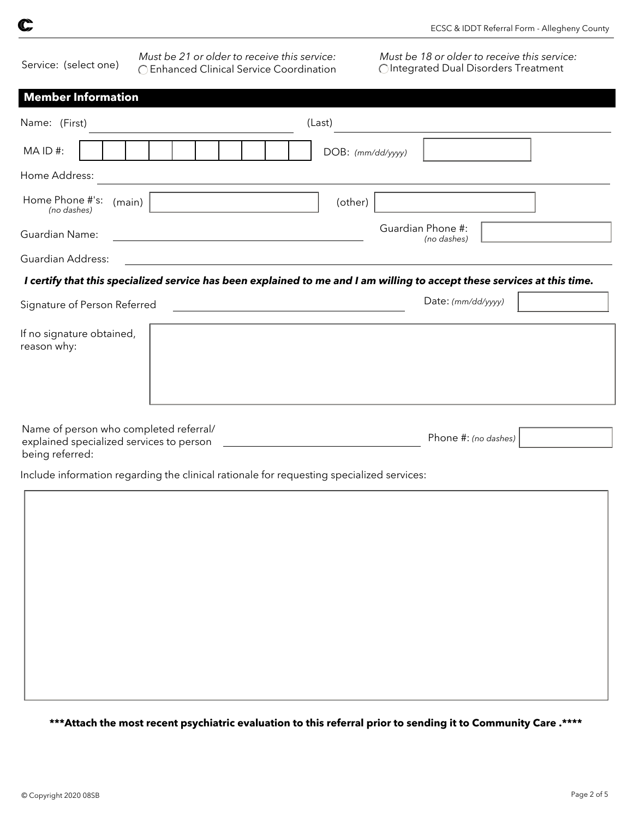Service: (select one)<br>
CEnhanced Clinical Service Coordination CIntegrated Dual Disorders Treatment *Must be 21 or older to receive this service:*

*Must be 18 or older to receive this service:*

| <b>Member Information</b>                                                                             |                                                                                                                          |
|-------------------------------------------------------------------------------------------------------|--------------------------------------------------------------------------------------------------------------------------|
| Name: (First)                                                                                         | (Last)                                                                                                                   |
| MAID#:                                                                                                | DOB: (mm/dd/yyyy)                                                                                                        |
| Home Address:                                                                                         |                                                                                                                          |
| Home Phone #'s:<br>(main)<br>(no dashes)                                                              | (other)                                                                                                                  |
| Guardian Name:                                                                                        | Guardian Phone #:<br>(no dashes)                                                                                         |
| <b>Guardian Address:</b>                                                                              |                                                                                                                          |
|                                                                                                       | I certify that this specialized service has been explained to me and I am willing to accept these services at this time. |
| Signature of Person Referred                                                                          | Date: (mm/dd/yyyy)                                                                                                       |
| If no signature obtained,<br>reason why:                                                              |                                                                                                                          |
| Name of person who completed referral/<br>explained specialized services to person<br>being referred: | Phone #: (no dashes)                                                                                                     |

Include information regarding the clinical rationale for requesting specialized services:

**\*\*\*Attach the most recent psychiatric evaluation to this referral prior to sending it to Community Care .\*\*\*\***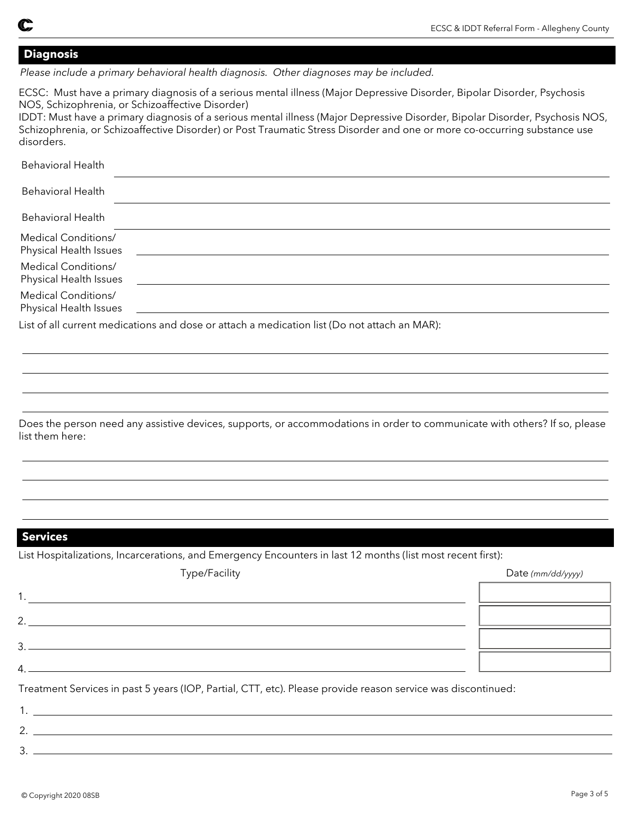| m<br>۰<br>٠<br>٠<br>ı<br>ŕ.<br>٠<br>ı<br>i |  |  |
|--------------------------------------------|--|--|
|                                            |  |  |
|                                            |  |  |

*Please include a primary behavioral health diagnosis. Other diagnoses may be included.*

ECSC: Must have a primary diagnosis of a serious mental illness (Major Depressive Disorder, Bipolar Disorder, Psychosis NOS, Schizophrenia, or Schizoaffective Disorder)

IDDT: Must have a primary diagnosis of a serious mental illness (Major Depressive Disorder, Bipolar Disorder, Psychosis NOS, Schizophrenia, or Schizoaffective Disorder) or Post Traumatic Stress Disorder and one or more co-occurring substance use disorders.

| <b>Behavioral Health</b>                             |  |
|------------------------------------------------------|--|
| <b>Behavioral Health</b>                             |  |
| <b>Behavioral Health</b>                             |  |
| <b>Medical Conditions/</b><br>Physical Health Issues |  |
| Medical Conditions/<br>Physical Health Issues        |  |
| Medical Conditions/<br>Physical Health Issues        |  |

List of all current medications and dose or attach a medication list (Do not attach an MAR):

Does the person need any assistive devices, supports, or accommodations in order to communicate with others? If so, please list them here:

### **Services**

List Hospitalizations, Incarcerations, and Emergency Encounters in last 12 months (list most recent first):

Type/Facility **Date** *(mm/dd/yyyy)* 

| <u> 1989 - John Stein, Amerikaansk politiker (</u> † 1920)                                                                                                                                                                                                                                                                                                                           |  |
|--------------------------------------------------------------------------------------------------------------------------------------------------------------------------------------------------------------------------------------------------------------------------------------------------------------------------------------------------------------------------------------|--|
| $\overline{2}$<br><u> 1989 - Johann Stein, mars an deutscher Stein und der Stein und der Stein und der Stein und der Stein und der</u>                                                                                                                                                                                                                                               |  |
|                                                                                                                                                                                                                                                                                                                                                                                      |  |
| $\overline{4}$ $\overline{4}$ $\overline{4}$ $\overline{4}$ $\overline{4}$ $\overline{4}$ $\overline{4}$ $\overline{4}$ $\overline{4}$ $\overline{4}$ $\overline{4}$ $\overline{4}$ $\overline{4}$ $\overline{4}$ $\overline{4}$ $\overline{4}$ $\overline{4}$ $\overline{4}$ $\overline{4}$ $\overline{4}$ $\overline{4}$ $\overline{4}$ $\overline{4}$ $\overline{4}$ $\overline{$ |  |
| Treatment Services in past 5 years (IOP, Partial, CTT, etc). Please provide reason service was discontinued:                                                                                                                                                                                                                                                                         |  |
|                                                                                                                                                                                                                                                                                                                                                                                      |  |
| $\overline{\phantom{a}}$                                                                                                                                                                                                                                                                                                                                                             |  |
|                                                                                                                                                                                                                                                                                                                                                                                      |  |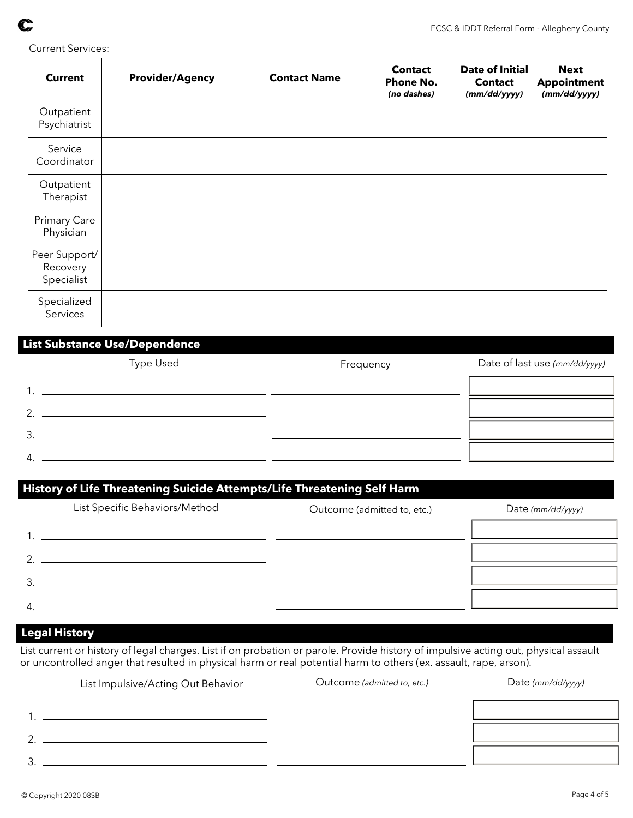Current Services:

| <b>Current</b>                          | <b>Provider/Agency</b> | <b>Contact Name</b> | <b>Contact</b><br><b>Phone No.</b><br>(no dashes) | <b>Date of Initial</b><br><b>Contact</b><br>(mm/dd/yyyy) | <b>Next</b><br><b>Appointment</b><br>(mm/dd/yyyy) |
|-----------------------------------------|------------------------|---------------------|---------------------------------------------------|----------------------------------------------------------|---------------------------------------------------|
| Outpatient<br>Psychiatrist              |                        |                     |                                                   |                                                          |                                                   |
| Service<br>Coordinator                  |                        |                     |                                                   |                                                          |                                                   |
| Outpatient<br>Therapist                 |                        |                     |                                                   |                                                          |                                                   |
| <b>Primary Care</b><br>Physician        |                        |                     |                                                   |                                                          |                                                   |
| Peer Support/<br>Recovery<br>Specialist |                        |                     |                                                   |                                                          |                                                   |
| Specialized<br>Services                 |                        |                     |                                                   |                                                          |                                                   |

## **List Substance Use/Dependence**

| <b>Type Used</b> | Frequency | Date of last use (mm/dd/yyyy) |
|------------------|-----------|-------------------------------|
|                  |           |                               |
| $\mathcal{D}$    |           |                               |
| 3                |           |                               |
| 4                |           |                               |

# **History of Life Threatening Suicide Attempts/Life Threatening Self Harm**

|   | List Specific Behaviors/Method | Outcome (admitted to, etc.) | Date (mm/dd/yyyy) |
|---|--------------------------------|-----------------------------|-------------------|
|   |                                |                             |                   |
| C |                                |                             |                   |
| 3 |                                |                             |                   |
| 4 |                                |                             |                   |

## **Legal History**

List current or history of legal charges. List if on probation or parole. Provide history of impulsive acting out, physical assault or uncontrolled anger that resulted in physical harm or real potential harm to others (ex. assault, rape, arson).

|        | List Impulsive/Acting Out Behavior | Outcome (admitted to, etc.) | Date (mm/dd/yyyy) |
|--------|------------------------------------|-----------------------------|-------------------|
|        |                                    |                             |                   |
| $\sim$ |                                    |                             |                   |
| $\sim$ |                                    |                             |                   |